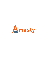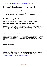# **Payment Restrictions for Magento 2**

- Set up restrictions based on cart contents
- Display different payment methods for orders depending on Subtotal or customer attributes
- Apply restrictions depending on customer shipping address
- Use customer purchase history to decide which payment methods to show

### **Troubleshooting checklist**

If the rule you've just set up doesn't seem to work please check the information below first.

#### **Make sure there are no other rules active at the same time**

Restrictions from different rules can work simultaneously. It means that, for example, if you have two payment methods - **Method One** and **Method Two** - and you want to block the **Method One** with a restriction rule **A**, and the **Method Two** with a restriction rule **B** and activate both rules at the same time, then **Method One** and **Method Two** will be restricted at the same time as well.

#### **Make sure conditions are set correctly**

If a rule is configured with conditions but doesn't work, please try removing conditions you've set up. If that helped it would be a good idea to revise the conditions configuration. Please check **[this article](https://blog.amasty.com/use-magento-rules-properly-common-mistakes-corrected/)** to see which mistakes are made more often Conditions configuration and find out how they can be fixed.

## **Usage examples**

#### **Block PayPal for restricted items**

**[PayPal's use policy](https://www.paypal.com/us/webapps/mpp/ua/acceptableuse-full)** disable the service when you sell, for example, ammunition. So if you are a gun enthusiast selling products over the Internet it would wise to hide PayPal when certain products are added to a customer cart. Payment Restrictions extension is just a tool for the job.

[The rule setup is very simple. We just select to block all PayPal methods…](https://amasty.com/docs/lib/exe/fetch.php?media=magento_2:payment_restrictions:ex1-general.png)

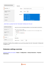| <b>SHIPPING RULES OPTIONS</b> | General                                  |                                                                      |                    |
|-------------------------------|------------------------------------------|----------------------------------------------------------------------|--------------------|
| Restrictions /                | Restrict PayPal for ammo<br>Name $\star$ |                                                                      |                    |
| Stores & Customer<br>Groups   | <b>Status</b>                            | Active<br>$\overline{\phantom{a}}$                                   |                    |
| Days & Time                   | Methods $\star$                          | PayPal (Braintree)                                                   | ۸                  |
| Conditions                    |                                          | Paypal - Credit Card<br>Paypal - Credit Card<br>Paypal - Credit Card |                    |
| Coupons                       |                                          | Paypal - PayPal Billing Agreement                                    | $\checkmark$<br>a. |

### […when there is a product from the "Ammunition" attribute set in the cart](https://amasty.com/docs/lib/exe/fetch.php?media=magento_2:payment_restrictions:ex1-conditions.png)

| <b>SHIPPING RULES OPTIONS</b> | Apply the rule only if the following conditions are met (leave blank for all products).                                                      |
|-------------------------------|----------------------------------------------------------------------------------------------------------------------------------------------|
| Restrictions /                | If ALL of these conditions are TRUE:<br>If total quantity equals or greater than 1 for a subselection of items in cart matching ALL of these |
| Stores & Customer<br>Groups   | conditions: 8<br>Attribute Set is Ammunition <b> </b>                                                                                        |
| Days & Time                   | ⊕<br>⊕                                                                                                                                       |
| Conditions $\lambda$          | <b>Backorders</b>                                                                                                                            |
| Coupons                       | All orders<br>Apply the rule to<br>$\overline{\phantom{a}}$                                                                                  |

And that's it! PayPal will be available to use up until any product from the "Ammunition" Attribute Set is added to cart.

### **Extension settings overview**

[Extension settings are located in](https://amasty.com/docs/lib/exe/fetch.php?media=magento_2:payment_restrictions:general-settings.png) **Stores > Configuration > Amasty Extensions > Payment Restrictions**

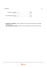#### **General**

| Include tax in subtotal<br>[store view]     | No |  |
|---------------------------------------------|----|--|
| Use subtotal after discount<br>[store view] | No |  |

**Include tax in subtotal** - controls, whether the Tax value will be included in the Subtotal condition or not.

 $\odot$ 

**Use subtotal after discount** - works the same as setting above, but for Discount values.

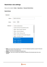## **Restriction rule settings**

#### Rules can be created in **Sales > Operations > Payment Restrictions**

#### **Restrictions**

| <b>General</b>  |                                           |    |
|-----------------|-------------------------------------------|----|
| Name $*$        | PayPal restrictions                       |    |
| <b>Status</b>   | Active                                    |    |
| Methods $\star$ | Credit Card (Braintree)                   |    |
|                 | Credit Card Direct Post (Authorize.net)   |    |
|                 | Offline - Bank Transfer Payment           |    |
|                 | Offline - Cash On Delivery                |    |
|                 | Offline - Check / Money order             |    |
|                 | Offline - No Payment Information Required |    |
|                 | Offline - Purchase Order                  |    |
|                 | PayPal (Braintree)                        |    |
|                 | Paypal - Credit Card                      |    |
|                 | Paypal - Credit Card                      | a. |

- **Name** the name of the restriction rule. It won't be displayed anywhere except for Payment Restrictions menus in the admin area.
- **Status** the rule can be enabled or disabled here.
- **Methods** here you can select which payment methods will be blocked when the rule is applied.

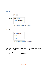#### **Stores & Customer Groups**

| <b>Apply In</b>    |                                                          |  |
|--------------------|----------------------------------------------------------|--|
| <b>Admin Area</b>  | <b>No</b>                                                |  |
| <b>Stores</b>      | ۸<br><b>Main Website</b>                                 |  |
|                    | <b>Main Website Store</b>                                |  |
|                    | <b>Default Store View</b>                                |  |
|                    |                                                          |  |
|                    | Leave empty or select all to apply the rule to any store |  |
|                    |                                                          |  |
| <b>Customer Gr</b> | ۸<br><b>NOT LOGGED IN</b>                                |  |
| oups               | General                                                  |  |
| <b>Apply For</b>   | Wholesale                                                |  |

- **Admin Area** the option controls whether the rule will be applied in the admin area or not.
- **Stores** this feature limits stores where the rule will be applied. If nothing is selected, the rule will be applied to all stores.
- **Customer Groups** the option controls on which customer groups the rule will be applied. If nothing is selected, the rule will be applied to all groups.

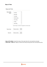| <b>Days and Time</b> |               |                                                       |  |  |
|----------------------|---------------|-------------------------------------------------------|--|--|
| Days of the<br>Week  | Sunday        | ۸                                                     |  |  |
|                      | Monday        |                                                       |  |  |
|                      | Tuesday       |                                                       |  |  |
|                      | Wednesday     |                                                       |  |  |
|                      | Thursday      |                                                       |  |  |
|                      | Friday        |                                                       |  |  |
|                      | Saturday      | æ                                                     |  |  |
|                      |               | Leave empty or select all to apply the rule every day |  |  |
| <b>Time From:</b>    | Please select |                                                       |  |  |
|                      |               |                                                       |  |  |
| <b>Time To:</b>      | Please select |                                                       |  |  |
|                      |               |                                                       |  |  |

- **Days of the Week** Specify the days of the week when the rule should be activated.
- **Time From Time To** Specify a certain time interval during which the rule should be active.

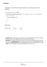#### **Conditions**

Apply the rule only if the following conditions are met (leave blank for all products).

| If ALL of these conditions are TRUE :                                                       |
|---------------------------------------------------------------------------------------------|
| If total quantity equals or greater than 1 for a subselection of items in cart matching ALL |
| of these conditions: @                                                                      |
| Category is one of 17,47                                                                    |
| ⊕                                                                                           |
| Θ                                                                                           |
| <b>Backorders</b>                                                                           |
| Apply the rule<br>All orders<br>$\overline{\phantom{a}}$<br>to                              |

- **Condition tree** if there are some conditions, the rule will be applied only when the conditions are met. If there are no conditions set, the rule will be active all the time.
- **Backorders** the option controls how the rule will work if there are Backorder items in the cart. When it's set to **Backorders only** the rule will work when there are only Backorder items in the cart. With the **Non backorders** the rule will be applied when there are no Backorder items. **All orders** will work regardless if there are Backorder items in the cart or not.

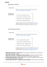#### **Coupons**

#### **Apply Rules Only With**

|                                         | Apply this rule with coupon only. You should configure coupon in<br>Promotions / Shopping Cart Rules area first. |  |
|-----------------------------------------|------------------------------------------------------------------------------------------------------------------|--|
| <b>Shopping Cart</b><br>Rule (discount) |                                                                                                                  |  |
|                                         | \$4 Luma water bottle (save 70%)                                                                                 |  |
|                                         | Buy 3 tee shirts and get the 4th free                                                                            |  |
|                                         | Spend \$50 or more - shipping is free!                                                                           |  |
|                                         |                                                                                                                  |  |

should configure the rule in Promotions / Shopping Cart Price Rules area first. Useful when you have MULTIPLE coupons in one rule.

#### Do NOT Apply Rules With

| Coupon code                                    |                                                                                                                 |
|------------------------------------------------|-----------------------------------------------------------------------------------------------------------------|
|                                                | Not apply this rule with coupon. You should configure coupon in<br>Promotions / Shopping Cart Rules area first. |
| <b>Shopping Cart</b><br><b>Rule (discount)</b> | $\mathcal{O}_2$<br>\$4 Luma water bottle (save 70%)                                                             |
|                                                | Buy 3 tee shirts and get the 4th free                                                                           |
|                                                | Spend \$50 or more - shipping is free!                                                                          |
|                                                | 20% OFF Ever \$200-plus purchase!*<br>٧                                                                         |
|                                                | al.<br>Not apply this sule with ANV coupon from specified discount sule. Vou                                    |

Not apply this rule with ANY coupon from specified discount rule. You should configure the rule in Promotions / Shopping Cart Price Rules area first. Useful when you have MULTIPLE coupons in one rule.

- **Apply Rules Only With Coupon Code** when a coupon is provided here, the rule will work only when this coupon is entered.
- **Apply Rules Only With Shopping Cart Rule (discount)** works the same as the setting above, but it uses the list of coupons in the selected rules instead of a single coupon.
- **Do NOT Apply Rules With Coupon Code** when a coupon is provided here, the rule will be canceled if the specified coupon is entered.
- **Do NOT Apply Rules With Shopping Cart Rule (discount)** works the same as the setting